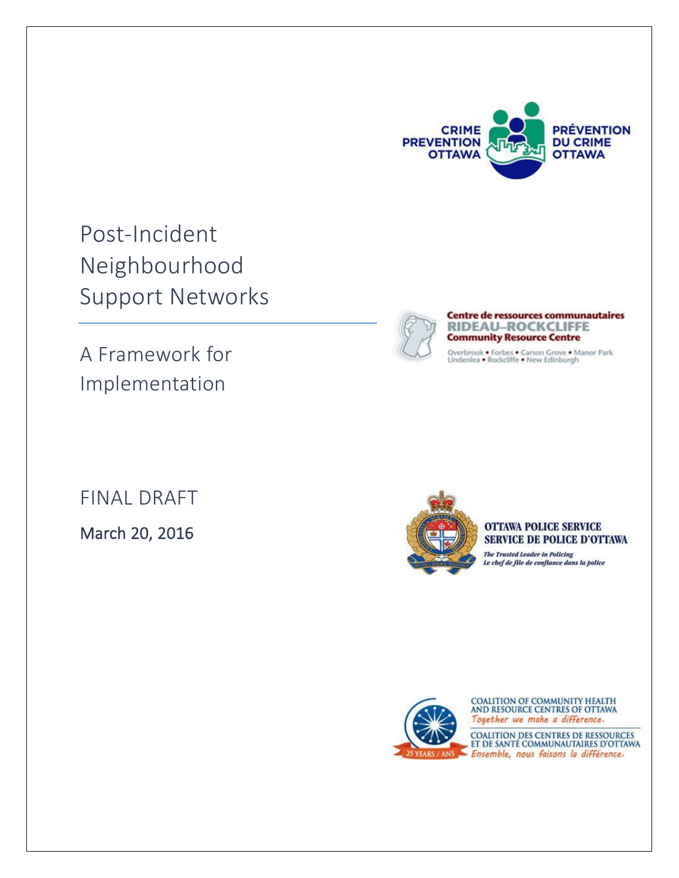

Post-Incident Neighbourhood Support Networks

A Framework for Implementation



**Centre de ressources communautaires RIDEAU-ROCKCLIFFE Community Resource Centre** 

Overbrook • Forbes • Carson Grove • Manor Park<br>Lindenlea • Rockcliffe • New Edinburgh

FINAL DRAFT

March 20, 2016



#### **OTTAWA POLICE SERVICE SERVICE DE POLICE D'OTTAWA**

The Trusted Leader in Policing<br>Le chef de file de confiance dans la police



COALITION OF COMMUNITY HEALTH<br>AND RESOURCE CENTRES OF OTTAWA Together we make a difference.

COALITION DES CENTRES DE RESSOURCES<br>ET DE SANTÉ COMMUNAUTAIRES D'OTTAWA Ensemble, nous faisons la différence.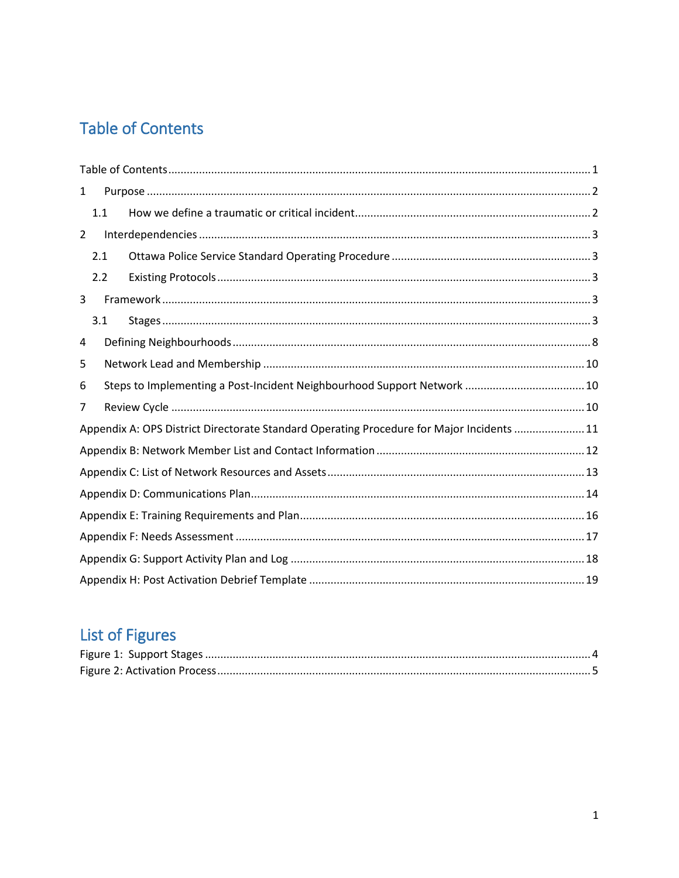# <span id="page-1-0"></span>**Table of Contents**

| $\mathbf{1}$   |     |                                                                                           |  |  |  |  |  |
|----------------|-----|-------------------------------------------------------------------------------------------|--|--|--|--|--|
|                | 1.1 |                                                                                           |  |  |  |  |  |
| $\overline{2}$ |     |                                                                                           |  |  |  |  |  |
|                | 2.1 |                                                                                           |  |  |  |  |  |
|                | 2.2 |                                                                                           |  |  |  |  |  |
| 3              |     |                                                                                           |  |  |  |  |  |
|                | 3.1 |                                                                                           |  |  |  |  |  |
| 4              |     |                                                                                           |  |  |  |  |  |
| 5              |     |                                                                                           |  |  |  |  |  |
| 6              |     |                                                                                           |  |  |  |  |  |
| 7              |     |                                                                                           |  |  |  |  |  |
|                |     | Appendix A: OPS District Directorate Standard Operating Procedure for Major Incidents  11 |  |  |  |  |  |
|                |     |                                                                                           |  |  |  |  |  |
|                |     |                                                                                           |  |  |  |  |  |
|                |     |                                                                                           |  |  |  |  |  |
|                |     |                                                                                           |  |  |  |  |  |
|                |     |                                                                                           |  |  |  |  |  |
|                |     |                                                                                           |  |  |  |  |  |
|                |     |                                                                                           |  |  |  |  |  |

# List of Figures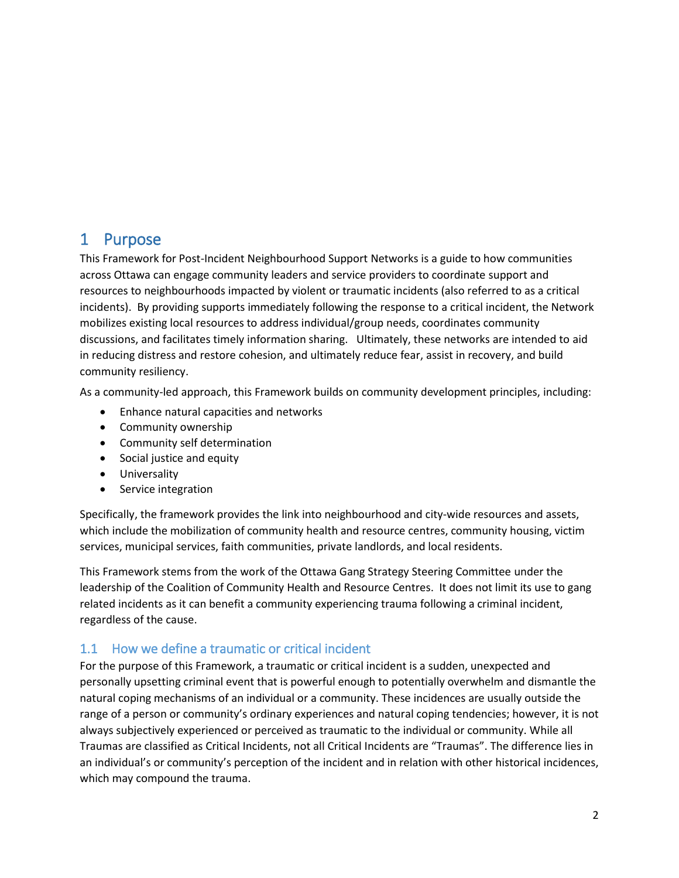### <span id="page-2-0"></span>1 Purpose

This Framework for Post-Incident Neighbourhood Support Networks is a guide to how communities across Ottawa can engage community leaders and service providers to coordinate support and resources to neighbourhoods impacted by violent or traumatic incidents (also referred to as a critical incidents). By providing supports immediately following the response to a critical incident, the Network mobilizes existing local resources to address individual/group needs, coordinates community discussions, and facilitates timely information sharing. Ultimately, these networks are intended to aid in reducing distress and restore cohesion, and ultimately reduce fear, assist in recovery, and build community resiliency.

As a community-led approach, this Framework builds on community development principles, including:

- Enhance natural capacities and networks
- Community ownership
- Community self determination
- Social justice and equity
- **•** Universality
- Service integration

Specifically, the framework provides the link into neighbourhood and city-wide resources and assets, which include the mobilization of community health and resource centres, community housing, victim services, municipal services, faith communities, private landlords, and local residents.

This Framework stems from the work of the Ottawa Gang Strategy Steering Committee under the leadership of the Coalition of Community Health and Resource Centres. It does not limit its use to gang related incidents as it can benefit a community experiencing trauma following a criminal incident, regardless of the cause.

### <span id="page-2-1"></span>1.1 How we define a traumatic or critical incident

For the purpose of this Framework, a traumatic or critical incident is a sudden, unexpected and personally upsetting criminal event that is powerful enough to potentially overwhelm and dismantle the natural coping mechanisms of an individual or a community. These incidences are usually outside the range of a person or community's ordinary experiences and natural coping tendencies; however, it is not always subjectively experienced or perceived as traumatic to the individual or community. While all Traumas are classified as Critical Incidents, not all Critical Incidents are "Traumas". The difference lies in an individual's or community's perception of the incident and in relation with other historical incidences, which may compound the trauma.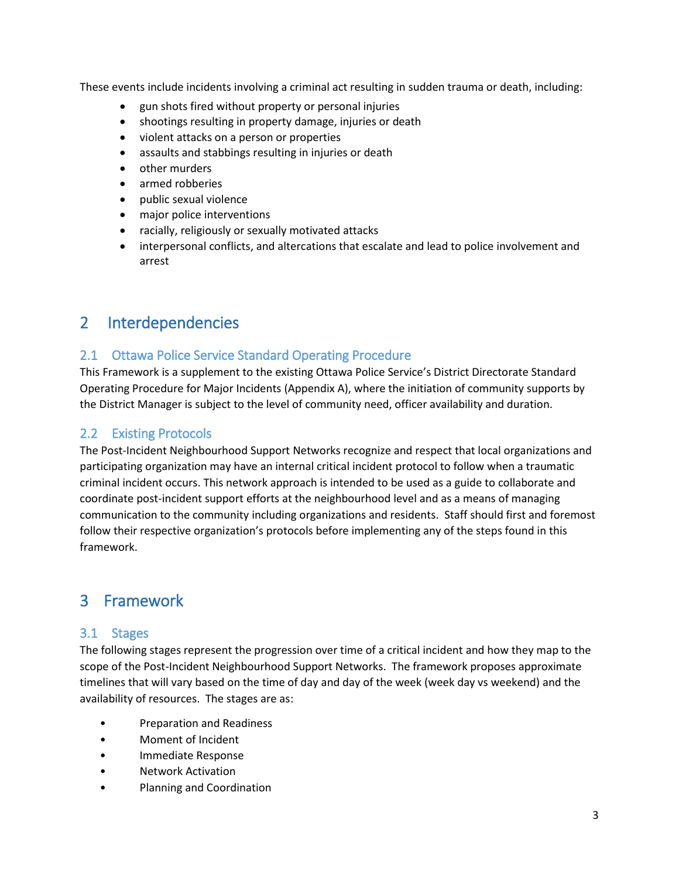These events include incidents involving a criminal act resulting in sudden trauma or death, including:

- gun shots fired without property or personal injuries
- shootings resulting in property damage, injuries or death
- violent attacks on a person or properties
- assaults and stabbings resulting in injuries or death
- other murders
- armed robberies
- public sexual violence
- major police interventions
- racially, religiously or sexually motivated attacks
- interpersonal conflicts, and altercations that escalate and lead to police involvement and arrest

### <span id="page-3-0"></span>2 Interdependencies

#### <span id="page-3-1"></span>2.1 Ottawa Police Service Standard Operating Procedure

This Framework is a supplement to the existing Ottawa Police Service's District Directorate Standard Operating Procedure for Major Incidents (Appendix A), where the initiation of community supports by the District Manager is subject to the level of community need, officer availability and duration.

#### <span id="page-3-2"></span>2.2 Existing Protocols

The Post-Incident Neighbourhood Support Networks recognize and respect that local organizations and participating organization may have an internal critical incident protocol to follow when a traumatic criminal incident occurs. This network approach is intended to be used as a guide to collaborate and coordinate post-incident support efforts at the neighbourhood level and as a means of managing communication to the community including organizations and residents. Staff should first and foremost follow their respective organization's protocols before implementing any of the steps found in this framework.

### <span id="page-3-3"></span>3 Framework

#### <span id="page-3-4"></span>3.1 Stages

The following stages represent the progression over time of a critical incident and how they map to the scope of the Post-Incident Neighbourhood Support Networks. The framework proposes approximate timelines that will vary based on the time of day and day of the week (week day vs weekend) and the availability of resources. The stages are as:

- Preparation and Readiness
- Moment of Incident
- Immediate Response
- Network Activation
- Planning and Coordination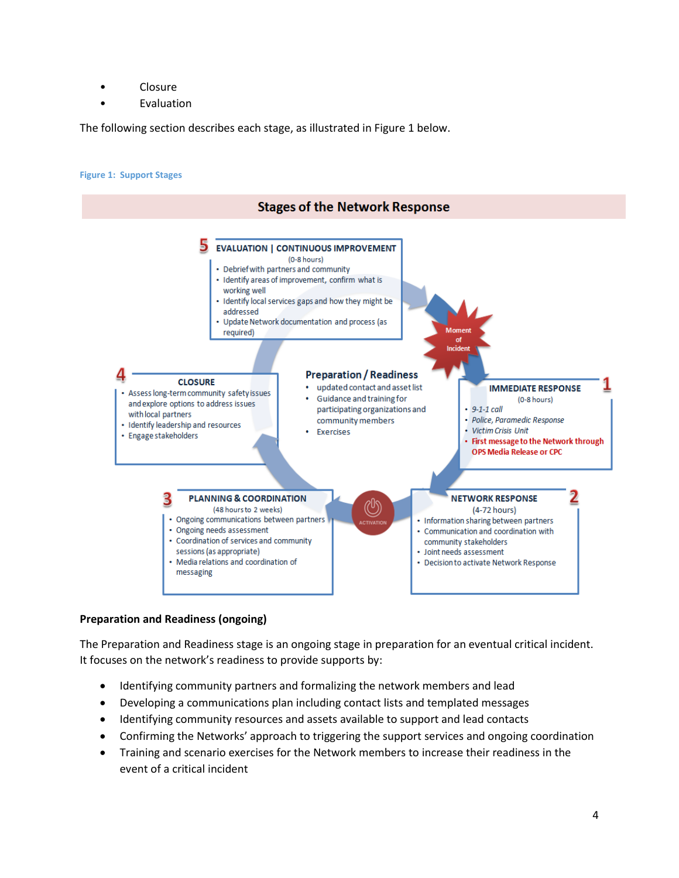- Closure
- **Evaluation**

The following section describes each stage, as illustrated in Figure 1 below.

#### <span id="page-4-0"></span>**Figure 1: Support Stages**



#### **Preparation and Readiness (ongoing)**

The Preparation and Readiness stage is an ongoing stage in preparation for an eventual critical incident. It focuses on the network's readiness to provide supports by:

- Identifying community partners and formalizing the network members and lead
- Developing a communications plan including contact lists and templated messages
- Identifying community resources and assets available to support and lead contacts
- Confirming the Networks' approach to triggering the support services and ongoing coordination
- Training and scenario exercises for the Network members to increase their readiness in the event of a critical incident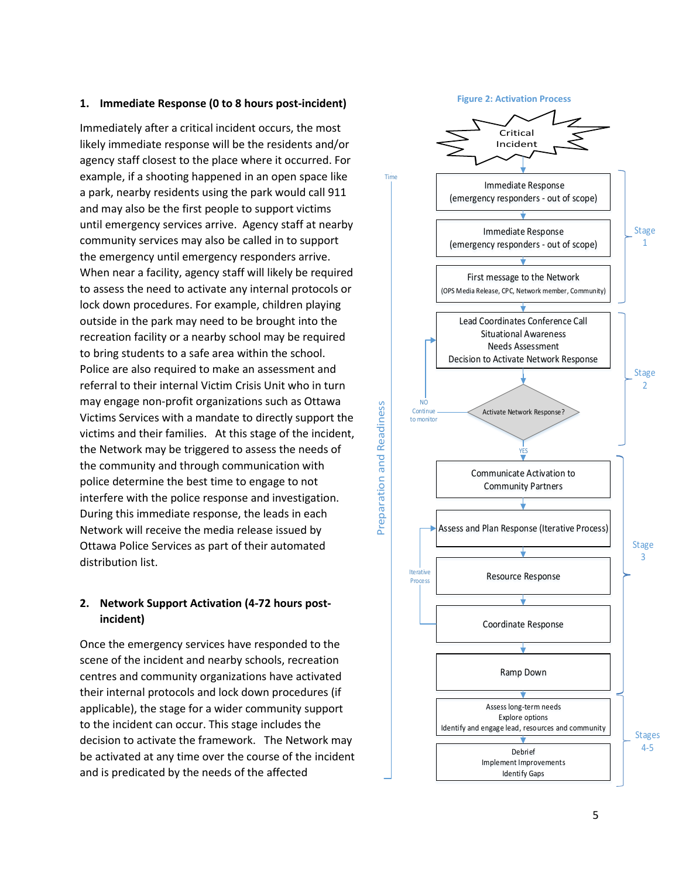#### **1. Immediate Response (0 to 8 hours post-incident)**

Immediately after a critical incident occurs, the most likely immediate response will be the residents and/or agency staff closest to the place where it occurred. For example, if a shooting happened in an open space like a park, nearby residents using the park would call 911 and may also be the first people to support victims until emergency services arrive. Agency staff at nearby community services may also be called in to support the emergency until emergency responders arrive. When near a facility, agency staff will likely be required to assess the need to activate any internal protocols or lock down procedures. For example, children playing outside in the park may need to be brought into the recreation facility or a nearby school may be required to bring students to a safe area within the school. Police are also required to make an assessment and referral to their internal Victim Crisis Unit who in turn may engage non-profit organizations such as Ottawa Victims Services with a mandate to directly support the victims and their families. At this stage of the incident, the Network may be triggered to assess the needs of the community and through communication with police determine the best time to engage to not interfere with the police response and investigation. During this immediate response, the leads in each Network will receive the media release issued by Ottawa Police Services as part of their automated distribution list.

#### **2. Network Support Activation (4-72 hours postincident)**

Once the emergency services have responded to the scene of the incident and nearby schools, recreation centres and community organizations have activated their internal protocols and lock down procedures (if applicable), the stage for a wider community support to the incident can occur. This stage includes the decision to activate the framework. The Network may be activated at any time over the course of the incident and is predicated by the needs of the affected

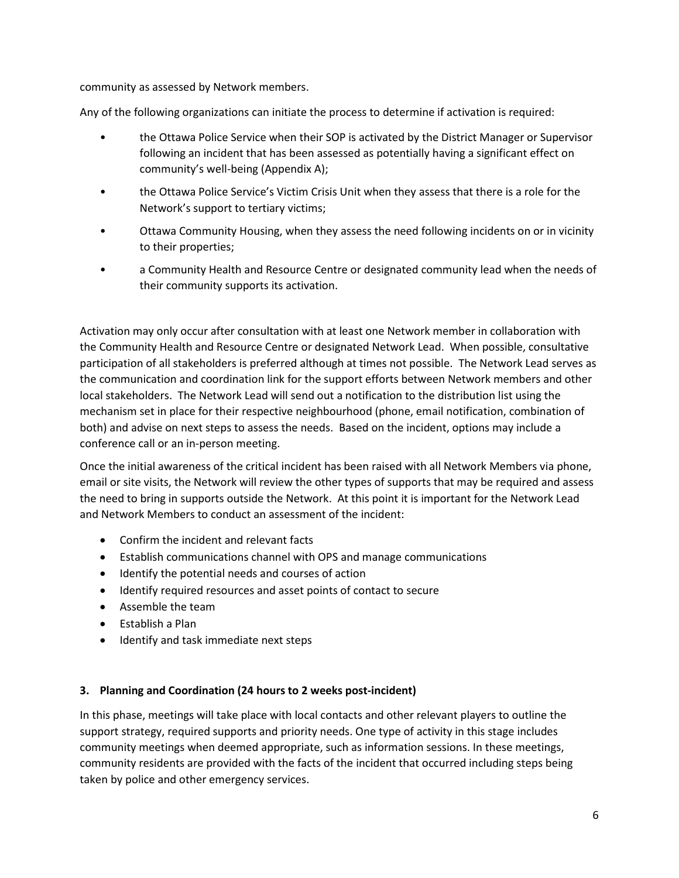community as assessed by Network members.

Any of the following organizations can initiate the process to determine if activation is required:

- the Ottawa Police Service when their SOP is activated by the District Manager or Supervisor following an incident that has been assessed as potentially having a significant effect on community's well-being (Appendix A);
- the Ottawa Police Service's Victim Crisis Unit when they assess that there is a role for the Network's support to tertiary victims;
- Ottawa Community Housing, when they assess the need following incidents on or in vicinity to their properties;
- a Community Health and Resource Centre or designated community lead when the needs of their community supports its activation.

Activation may only occur after consultation with at least one Network member in collaboration with the Community Health and Resource Centre or designated Network Lead. When possible, consultative participation of all stakeholders is preferred although at times not possible. The Network Lead serves as the communication and coordination link for the support efforts between Network members and other local stakeholders. The Network Lead will send out a notification to the distribution list using the mechanism set in place for their respective neighbourhood (phone, email notification, combination of both) and advise on next steps to assess the needs. Based on the incident, options may include a conference call or an in-person meeting.

Once the initial awareness of the critical incident has been raised with all Network Members via phone, email or site visits, the Network will review the other types of supports that may be required and assess the need to bring in supports outside the Network. At this point it is important for the Network Lead and Network Members to conduct an assessment of the incident:

- Confirm the incident and relevant facts
- Establish communications channel with OPS and manage communications
- $\bullet$  Identify the potential needs and courses of action
- Identify required resources and asset points of contact to secure
- Assemble the team
- Establish a Plan
- Identify and task immediate next steps

#### **3. Planning and Coordination (24 hours to 2 weeks post-incident)**

In this phase, meetings will take place with local contacts and other relevant players to outline the support strategy, required supports and priority needs. One type of activity in this stage includes community meetings when deemed appropriate, such as information sessions. In these meetings, community residents are provided with the facts of the incident that occurred including steps being taken by police and other emergency services.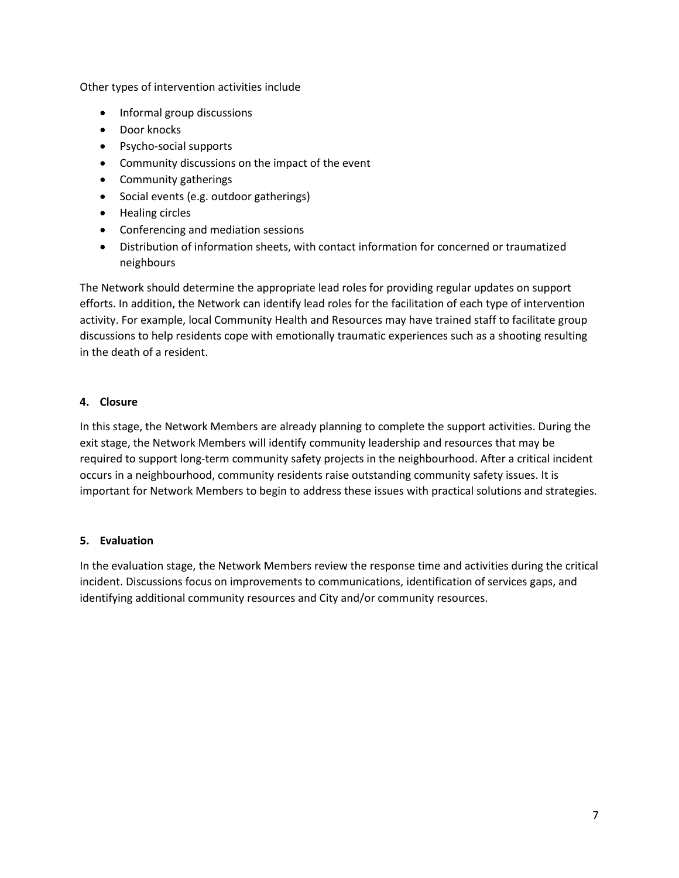Other types of intervention activities include

- Informal group discussions
- Door knocks
- Psycho-social supports
- Community discussions on the impact of the event
- Community gatherings
- Social events (e.g. outdoor gatherings)
- Healing circles
- Conferencing and mediation sessions
- Distribution of information sheets, with contact information for concerned or traumatized neighbours

The Network should determine the appropriate lead roles for providing regular updates on support efforts. In addition, the Network can identify lead roles for the facilitation of each type of intervention activity. For example, local Community Health and Resources may have trained staff to facilitate group discussions to help residents cope with emotionally traumatic experiences such as a shooting resulting in the death of a resident.

#### **4. Closure**

In this stage, the Network Members are already planning to complete the support activities. During the exit stage, the Network Members will identify community leadership and resources that may be required to support long-term community safety projects in the neighbourhood. After a critical incident occurs in a neighbourhood, community residents raise outstanding community safety issues. It is important for Network Members to begin to address these issues with practical solutions and strategies.

#### **5. Evaluation**

In the evaluation stage, the Network Members review the response time and activities during the critical incident. Discussions focus on improvements to communications, identification of services gaps, and identifying additional community resources and City and/or community resources.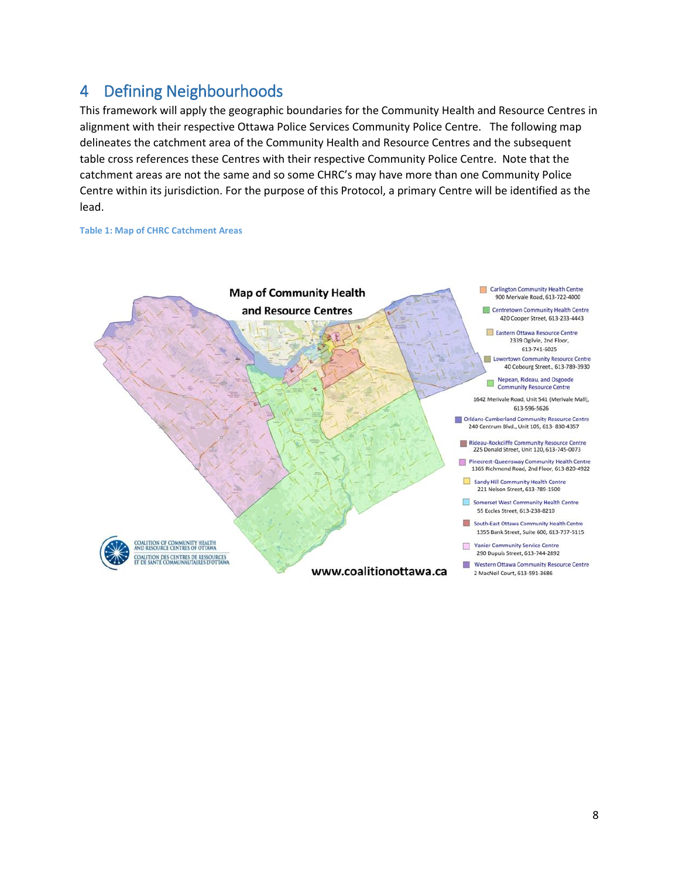### <span id="page-8-0"></span>4 Defining Neighbourhoods

This framework will apply the geographic boundaries for the Community Health and Resource Centres in alignment with their respective Ottawa Police Services Community Police Centre. The following map delineates the catchment area of the Community Health and Resource Centres and the subsequent table cross references these Centres with their respective Community Police Centre. Note that the catchment areas are not the same and so some CHRC's may have more than one Community Police Centre within its jurisdiction. For the purpose of this Protocol, a primary Centre will be identified as the lead.

#### **Table 1: Map of CHRC Catchment Areas**

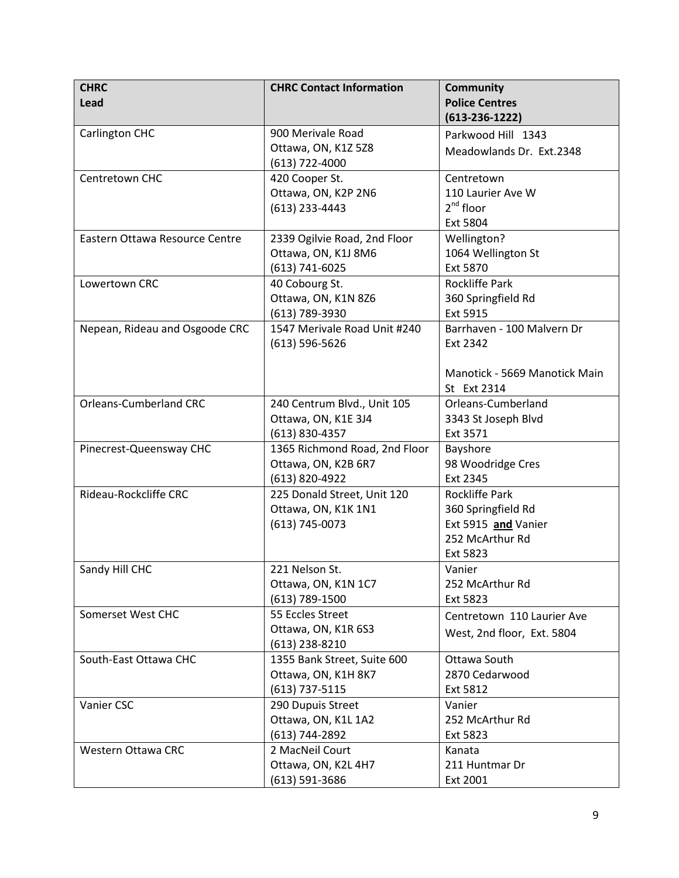| <b>CHRC</b>                    | <b>CHRC Contact Information</b>                | <b>Community</b>                       |
|--------------------------------|------------------------------------------------|----------------------------------------|
| Lead                           |                                                | <b>Police Centres</b>                  |
|                                |                                                | $(613-236-1222)$                       |
| Carlington CHC                 | 900 Merivale Road                              | Parkwood Hill 1343                     |
|                                | Ottawa, ON, K1Z 5Z8                            | Meadowlands Dr. Ext.2348               |
|                                | $(613)$ 722-4000                               |                                        |
| Centretown CHC                 | 420 Cooper St.                                 | Centretown                             |
|                                | Ottawa, ON, K2P 2N6                            | 110 Laurier Ave W                      |
|                                | (613) 233-4443                                 | 2 <sup>nd</sup> floor                  |
|                                |                                                | Ext 5804                               |
| Eastern Ottawa Resource Centre | 2339 Ogilvie Road, 2nd Floor                   | Wellington?                            |
|                                | Ottawa, ON, K1J 8M6                            | 1064 Wellington St                     |
|                                | $(613) 741 - 6025$                             | Ext 5870                               |
| Lowertown CRC                  | 40 Cobourg St.                                 | Rockliffe Park                         |
|                                | Ottawa, ON, K1N 8Z6                            | 360 Springfield Rd                     |
|                                | (613) 789-3930<br>1547 Merivale Road Unit #240 | Ext 5915<br>Barrhaven - 100 Malvern Dr |
| Nepean, Rideau and Osgoode CRC |                                                | Ext 2342                               |
|                                | $(613) 596 - 5626$                             |                                        |
|                                |                                                | Manotick - 5669 Manotick Main          |
|                                |                                                | St Ext 2314                            |
| <b>Orleans-Cumberland CRC</b>  | 240 Centrum Blvd., Unit 105                    | Orleans-Cumberland                     |
|                                | Ottawa, ON, K1E 3J4                            | 3343 St Joseph Blvd                    |
|                                | $(613)$ 830-4357                               | Ext 3571                               |
| Pinecrest-Queensway CHC        | 1365 Richmond Road, 2nd Floor                  | Bayshore                               |
|                                | Ottawa, ON, K2B 6R7                            | 98 Woodridge Cres                      |
|                                | (613) 820-4922                                 | Ext 2345                               |
| Rideau-Rockcliffe CRC          | 225 Donald Street, Unit 120                    | <b>Rockliffe Park</b>                  |
|                                | Ottawa, ON, K1K 1N1                            | 360 Springfield Rd                     |
|                                | $(613) 745 - 0073$                             | Ext 5915 and Vanier                    |
|                                |                                                | 252 McArthur Rd                        |
|                                |                                                | Ext 5823                               |
| Sandy Hill CHC                 | 221 Nelson St.                                 | Vanier                                 |
|                                | Ottawa, ON, K1N 1C7                            | 252 McArthur Rd                        |
|                                | $(613) 789 - 1500$                             | Ext 5823                               |
| Somerset West CHC              | 55 Eccles Street                               | Centretown 110 Laurier Ave             |
|                                | Ottawa, ON, K1R 6S3                            | West, 2nd floor, Ext. 5804             |
|                                | $(613)$ 238-8210                               |                                        |
| South-East Ottawa CHC          | 1355 Bank Street, Suite 600                    | Ottawa South                           |
|                                | Ottawa, ON, K1H 8K7                            | 2870 Cedarwood                         |
|                                | $(613)$ 737-5115                               | Ext 5812                               |
| Vanier CSC                     | 290 Dupuis Street                              | Vanier                                 |
|                                | Ottawa, ON, K1L 1A2<br>(613) 744-2892          | 252 McArthur Rd<br>Ext 5823            |
| Western Ottawa CRC             | 2 MacNeil Court                                | Kanata                                 |
|                                | Ottawa, ON, K2L 4H7                            | 211 Huntmar Dr                         |
|                                | $(613) 591 - 3686$                             | Ext 2001                               |
|                                |                                                |                                        |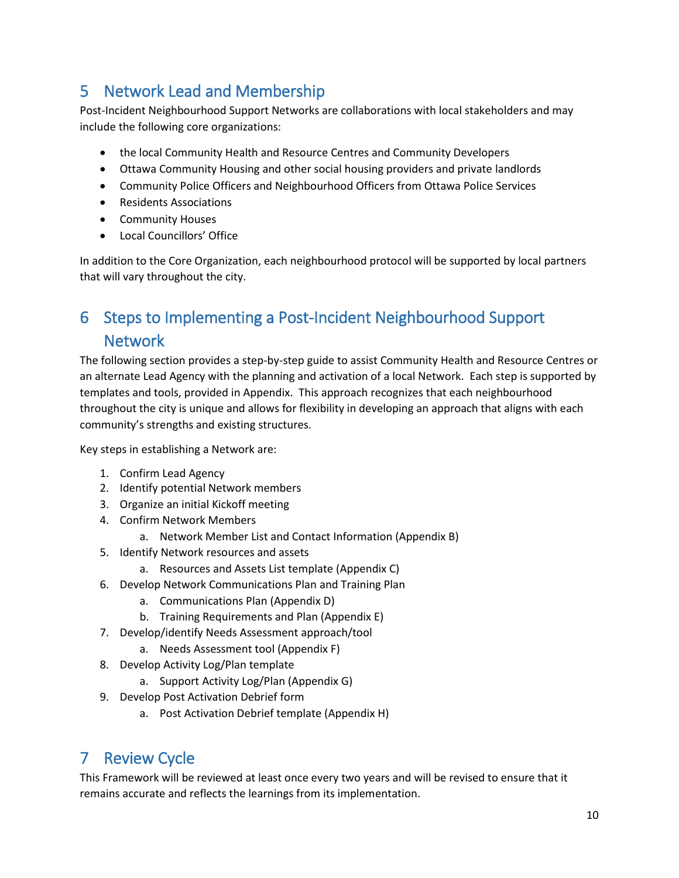## <span id="page-10-0"></span>5 Network Lead and Membership

Post-Incident Neighbourhood Support Networks are collaborations with local stakeholders and may include the following core organizations:

- the local Community Health and Resource Centres and Community Developers
- Ottawa Community Housing and other social housing providers and private landlords
- Community Police Officers and Neighbourhood Officers from Ottawa Police Services
- Residents Associations
- **•** Community Houses
- Local Councillors' Office

In addition to the Core Organization, each neighbourhood protocol will be supported by local partners that will vary throughout the city.

## <span id="page-10-1"></span>6 Steps to Implementing a Post-Incident Neighbourhood Support **Network**

The following section provides a step-by-step guide to assist Community Health and Resource Centres or an alternate Lead Agency with the planning and activation of a local Network. Each step is supported by templates and tools, provided in Appendix. This approach recognizes that each neighbourhood throughout the city is unique and allows for flexibility in developing an approach that aligns with each community's strengths and existing structures.

Key steps in establishing a Network are:

- 1. Confirm Lead Agency
- 2. Identify potential Network members
- 3. Organize an initial Kickoff meeting
- 4. Confirm Network Members
	- a. Network Member List and Contact Information (Appendix B)
- 5. Identify Network resources and assets
	- a. Resources and Assets List template (Appendix C)
- 6. Develop Network Communications Plan and Training Plan
	- a. Communications Plan (Appendix D)
	- b. Training Requirements and Plan (Appendix E)
- 7. Develop/identify Needs Assessment approach/tool
	- a. Needs Assessment tool (Appendix F)
- 8. Develop Activity Log/Plan template
	- a. Support Activity Log/Plan (Appendix G)
- 9. Develop Post Activation Debrief form
	- a. Post Activation Debrief template (Appendix H)

## <span id="page-10-2"></span>7 Review Cycle

This Framework will be reviewed at least once every two years and will be revised to ensure that it remains accurate and reflects the learnings from its implementation.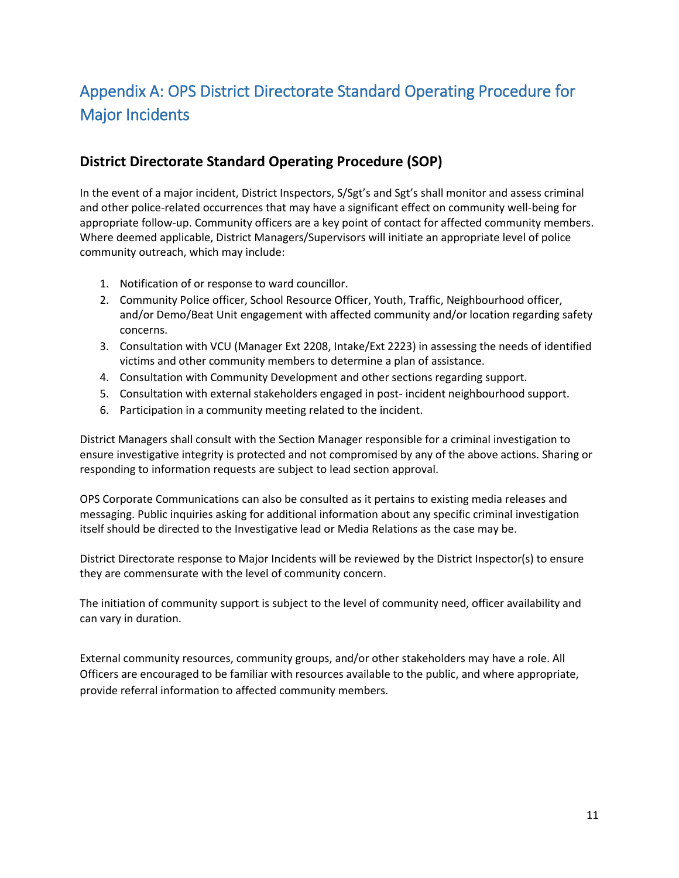## <span id="page-11-0"></span>Appendix A: OPS District Directorate Standard Operating Procedure for Major Incidents

### **District Directorate Standard Operating Procedure (SOP)**

In the event of a major incident, District Inspectors, S/Sgt's and Sgt's shall monitor and assess criminal and other police-related occurrences that may have a significant effect on community well-being for appropriate follow-up. Community officers are a key point of contact for affected community members. Where deemed applicable, District Managers/Supervisors will initiate an appropriate level of police community outreach, which may include:

- 1. Notification of or response to ward councillor.
- 2. Community Police officer, School Resource Officer, Youth, Traffic, Neighbourhood officer, and/or Demo/Beat Unit engagement with affected community and/or location regarding safety concerns.
- 3. Consultation with VCU (Manager Ext 2208, Intake/Ext 2223) in assessing the needs of identified victims and other community members to determine a plan of assistance.
- 4. Consultation with Community Development and other sections regarding support.
- 5. Consultation with external stakeholders engaged in post- incident neighbourhood support.
- 6. Participation in a community meeting related to the incident.

District Managers shall consult with the Section Manager responsible for a criminal investigation to ensure investigative integrity is protected and not compromised by any of the above actions. Sharing or responding to information requests are subject to lead section approval.

OPS Corporate Communications can also be consulted as it pertains to existing media releases and messaging. Public inquiries asking for additional information about any specific criminal investigation itself should be directed to the Investigative lead or Media Relations as the case may be.

District Directorate response to Major Incidents will be reviewed by the District Inspector(s) to ensure they are commensurate with the level of community concern.

The initiation of community support is subject to the level of community need, officer availability and can vary in duration.

External community resources, community groups, and/or other stakeholders may have a role. All Officers are encouraged to be familiar with resources available to the public, and where appropriate, provide referral information to affected community members.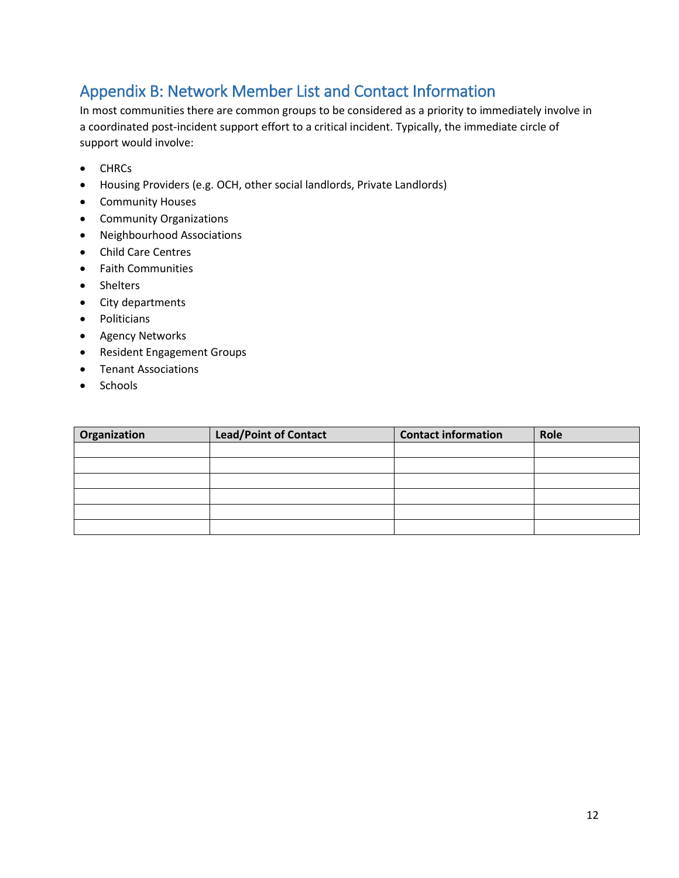### <span id="page-12-0"></span>Appendix B: Network Member List and Contact Information

In most communities there are common groups to be considered as a priority to immediately involve in a coordinated post-incident support effort to a critical incident. Typically, the immediate circle of support would involve:

- CHRCs
- Housing Providers (e.g. OCH, other social landlords, Private Landlords)
- **•** Community Houses
- Community Organizations
- Neighbourhood Associations
- Child Care Centres
- Faith Communities
- Shelters
- City departments
- Politicians
- **•** Agency Networks
- Resident Engagement Groups
- Tenant Associations
- Schools

| Organization | Lead/Point of Contact | <b>Contact information</b> | Role |
|--------------|-----------------------|----------------------------|------|
|              |                       |                            |      |
|              |                       |                            |      |
|              |                       |                            |      |
|              |                       |                            |      |
|              |                       |                            |      |
|              |                       |                            |      |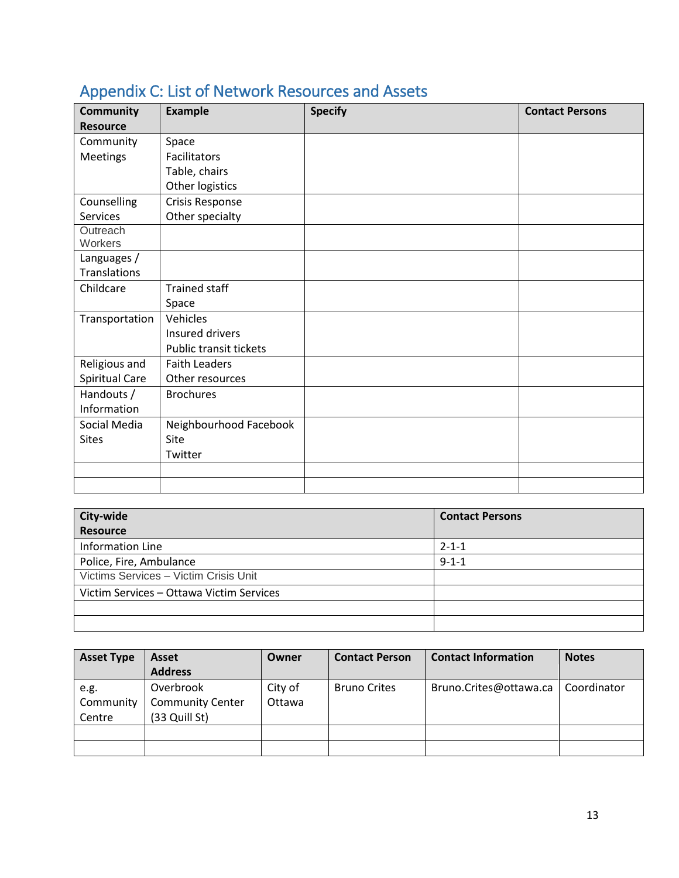| <b>Community</b>      | <b>Example</b>         | <b>Specify</b> | <b>Contact Persons</b> |
|-----------------------|------------------------|----------------|------------------------|
| <b>Resource</b>       |                        |                |                        |
| Community             | Space                  |                |                        |
| <b>Meetings</b>       | Facilitators           |                |                        |
|                       | Table, chairs          |                |                        |
|                       | Other logistics        |                |                        |
| Counselling           | Crisis Response        |                |                        |
| <b>Services</b>       | Other specialty        |                |                        |
| Outreach              |                        |                |                        |
| Workers               |                        |                |                        |
| Languages /           |                        |                |                        |
| Translations          |                        |                |                        |
| Childcare             | <b>Trained staff</b>   |                |                        |
|                       | Space                  |                |                        |
| Transportation        | Vehicles               |                |                        |
|                       | Insured drivers        |                |                        |
|                       | Public transit tickets |                |                        |
| Religious and         | <b>Faith Leaders</b>   |                |                        |
| <b>Spiritual Care</b> | Other resources        |                |                        |
| Handouts /            | <b>Brochures</b>       |                |                        |
| Information           |                        |                |                        |
| Social Media          | Neighbourhood Facebook |                |                        |
| <b>Sites</b>          | Site                   |                |                        |
|                       | Twitter                |                |                        |
|                       |                        |                |                        |
|                       |                        |                |                        |

## <span id="page-13-0"></span>Appendix C: List of Network Resources and Assets

| City-wide                                | <b>Contact Persons</b> |
|------------------------------------------|------------------------|
| <b>Resource</b>                          |                        |
| <b>Information Line</b>                  | $2 - 1 - 1$            |
| Police, Fire, Ambulance                  | $9 - 1 - 1$            |
| Victims Services - Victim Crisis Unit    |                        |
| Victim Services - Ottawa Victim Services |                        |
|                                          |                        |
|                                          |                        |

| <b>Asset Type</b> | Asset                   | Owner   | <b>Contact Person</b> | <b>Contact Information</b> | <b>Notes</b> |
|-------------------|-------------------------|---------|-----------------------|----------------------------|--------------|
|                   | <b>Address</b>          |         |                       |                            |              |
| e.g.              | Overbrook               | City of | <b>Bruno Crites</b>   | Bruno.Crites@ottawa.ca     | Coordinator  |
| Community         | <b>Community Center</b> | Ottawa  |                       |                            |              |
| Centre            | (33 Quill St)           |         |                       |                            |              |
|                   |                         |         |                       |                            |              |
|                   |                         |         |                       |                            |              |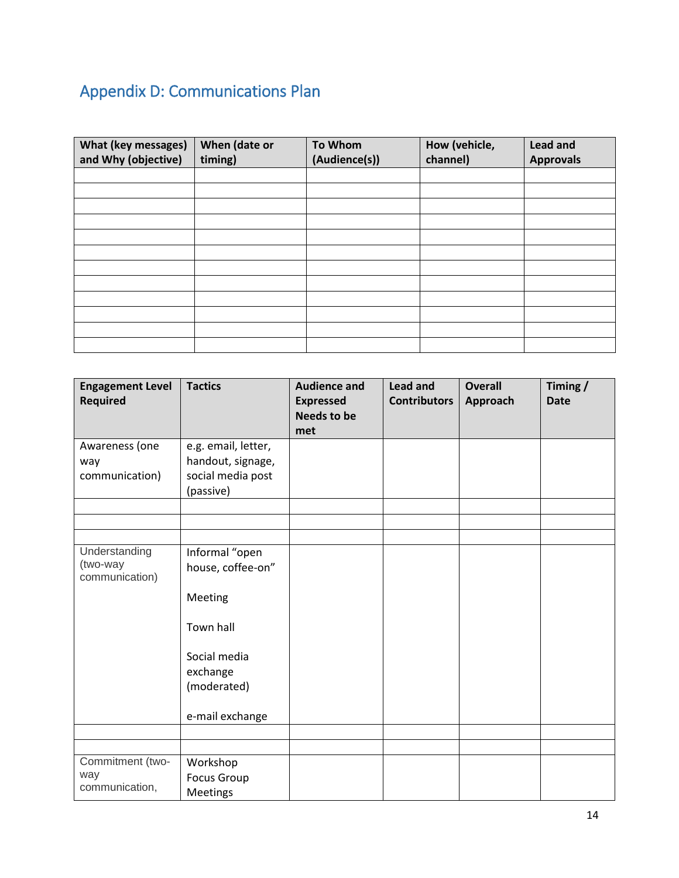# <span id="page-14-0"></span>Appendix D: Communications Plan

| <b>What (key messages)</b><br>and Why (objective) | When (date or<br>timing) | <b>To Whom</b><br>(Audience(s)) | How (vehicle,<br>channel) | <b>Lead and</b><br><b>Approvals</b> |
|---------------------------------------------------|--------------------------|---------------------------------|---------------------------|-------------------------------------|
|                                                   |                          |                                 |                           |                                     |
|                                                   |                          |                                 |                           |                                     |
|                                                   |                          |                                 |                           |                                     |
|                                                   |                          |                                 |                           |                                     |
|                                                   |                          |                                 |                           |                                     |
|                                                   |                          |                                 |                           |                                     |
|                                                   |                          |                                 |                           |                                     |
|                                                   |                          |                                 |                           |                                     |
|                                                   |                          |                                 |                           |                                     |
|                                                   |                          |                                 |                           |                                     |
|                                                   |                          |                                 |                           |                                     |
|                                                   |                          |                                 |                           |                                     |

| <b>Engagement Level</b><br><b>Required</b> | <b>Tactics</b>                      | <b>Audience and</b><br><b>Expressed</b><br><b>Needs to be</b><br>met | <b>Lead and</b><br><b>Contributors</b> | <b>Overall</b><br>Approach | Timing /<br><b>Date</b> |
|--------------------------------------------|-------------------------------------|----------------------------------------------------------------------|----------------------------------------|----------------------------|-------------------------|
| Awareness (one                             | e.g. email, letter,                 |                                                                      |                                        |                            |                         |
| way                                        | handout, signage,                   |                                                                      |                                        |                            |                         |
| communication)                             | social media post                   |                                                                      |                                        |                            |                         |
|                                            | (passive)                           |                                                                      |                                        |                            |                         |
|                                            |                                     |                                                                      |                                        |                            |                         |
|                                            |                                     |                                                                      |                                        |                            |                         |
| Understanding                              |                                     |                                                                      |                                        |                            |                         |
| (two-way                                   | Informal "open<br>house, coffee-on" |                                                                      |                                        |                            |                         |
| communication)                             |                                     |                                                                      |                                        |                            |                         |
|                                            | Meeting                             |                                                                      |                                        |                            |                         |
|                                            | Town hall                           |                                                                      |                                        |                            |                         |
|                                            | Social media                        |                                                                      |                                        |                            |                         |
|                                            | exchange                            |                                                                      |                                        |                            |                         |
|                                            | (moderated)                         |                                                                      |                                        |                            |                         |
|                                            |                                     |                                                                      |                                        |                            |                         |
|                                            | e-mail exchange                     |                                                                      |                                        |                            |                         |
|                                            |                                     |                                                                      |                                        |                            |                         |
|                                            |                                     |                                                                      |                                        |                            |                         |
| Commitment (two-                           | Workshop                            |                                                                      |                                        |                            |                         |
| way                                        | <b>Focus Group</b>                  |                                                                      |                                        |                            |                         |
| communication,                             | <b>Meetings</b>                     |                                                                      |                                        |                            |                         |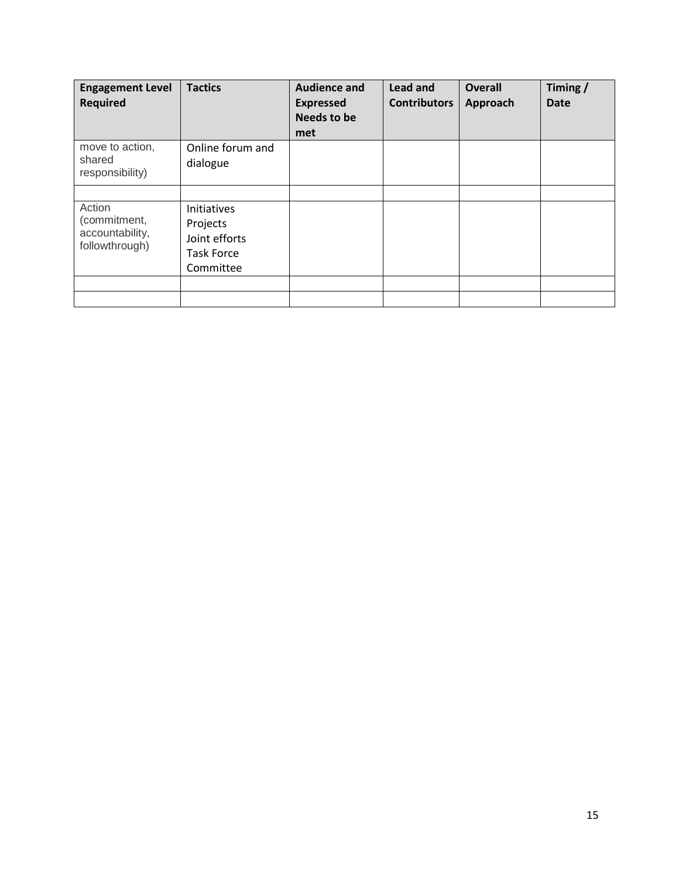| <b>Engagement Level</b><br><b>Required</b>                  | <b>Tactics</b>                                                             | <b>Audience and</b><br><b>Expressed</b><br><b>Needs to be</b><br>met | Lead and<br><b>Contributors</b> | <b>Overall</b><br>Approach | Timing/<br><b>Date</b> |
|-------------------------------------------------------------|----------------------------------------------------------------------------|----------------------------------------------------------------------|---------------------------------|----------------------------|------------------------|
| move to action,<br>shared<br>responsibility)                | Online forum and<br>dialogue                                               |                                                                      |                                 |                            |                        |
| Action<br>(commitment,<br>accountability,<br>followthrough) | Initiatives<br>Projects<br>Joint efforts<br><b>Task Force</b><br>Committee |                                                                      |                                 |                            |                        |
|                                                             |                                                                            |                                                                      |                                 |                            |                        |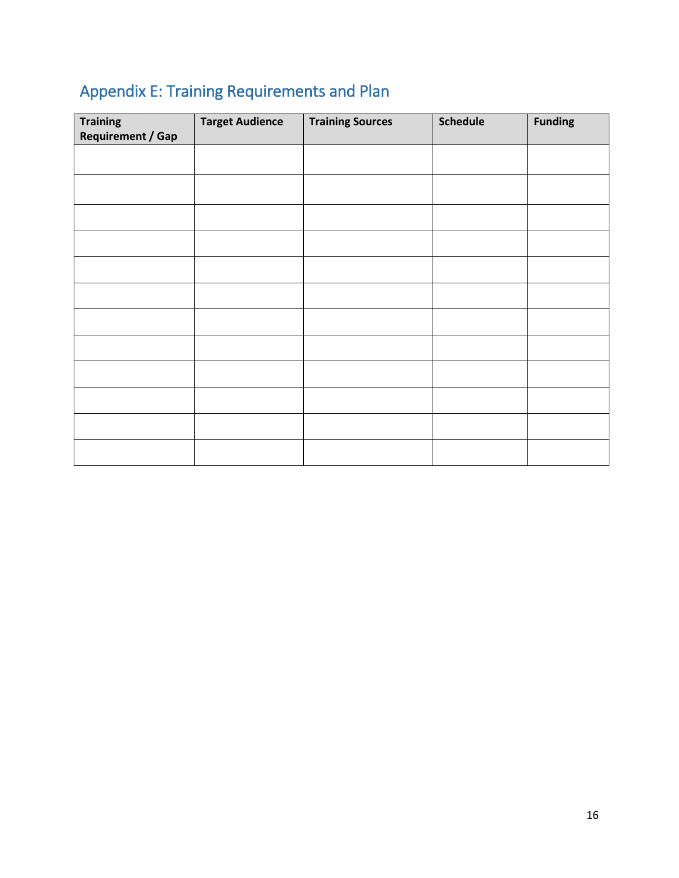# <span id="page-16-0"></span>Appendix E: Training Requirements and Plan

| <b>Training</b><br><b>Requirement / Gap</b> | <b>Target Audience</b> | <b>Training Sources</b> | <b>Schedule</b> | <b>Funding</b> |
|---------------------------------------------|------------------------|-------------------------|-----------------|----------------|
|                                             |                        |                         |                 |                |
|                                             |                        |                         |                 |                |
|                                             |                        |                         |                 |                |
|                                             |                        |                         |                 |                |
|                                             |                        |                         |                 |                |
|                                             |                        |                         |                 |                |
|                                             |                        |                         |                 |                |
|                                             |                        |                         |                 |                |
|                                             |                        |                         |                 |                |
|                                             |                        |                         |                 |                |
|                                             |                        |                         |                 |                |
|                                             |                        |                         |                 |                |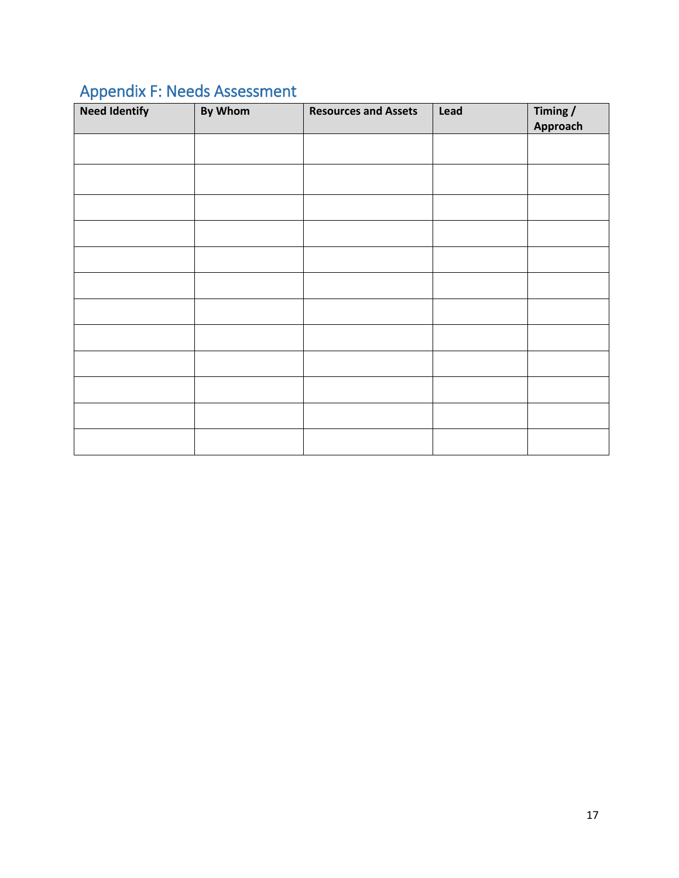# <span id="page-17-0"></span>Appendix F: Needs Assessment

| <b>Need Identify</b> | By Whom | <b>Resources and Assets</b> | Lead | Timing / |
|----------------------|---------|-----------------------------|------|----------|
|                      |         |                             |      | Approach |
|                      |         |                             |      |          |
|                      |         |                             |      |          |
|                      |         |                             |      |          |
|                      |         |                             |      |          |
|                      |         |                             |      |          |
|                      |         |                             |      |          |
|                      |         |                             |      |          |
|                      |         |                             |      |          |
|                      |         |                             |      |          |
|                      |         |                             |      |          |
|                      |         |                             |      |          |
|                      |         |                             |      |          |
|                      |         |                             |      |          |
|                      |         |                             |      |          |
|                      |         |                             |      |          |
|                      |         |                             |      |          |
|                      |         |                             |      |          |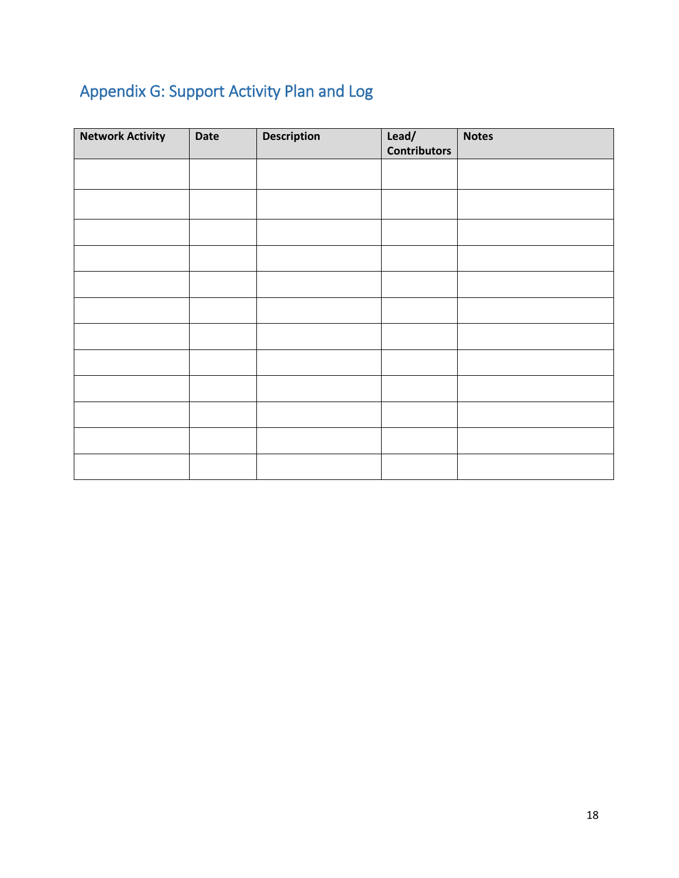# <span id="page-18-0"></span>Appendix G: Support Activity Plan and Log

| <b>Network Activity</b> | <b>Date</b> | <b>Description</b> | Lead/<br><b>Contributors</b> | <b>Notes</b> |
|-------------------------|-------------|--------------------|------------------------------|--------------|
|                         |             |                    |                              |              |
|                         |             |                    |                              |              |
|                         |             |                    |                              |              |
|                         |             |                    |                              |              |
|                         |             |                    |                              |              |
|                         |             |                    |                              |              |
|                         |             |                    |                              |              |
|                         |             |                    |                              |              |
|                         |             |                    |                              |              |
|                         |             |                    |                              |              |
|                         |             |                    |                              |              |
|                         |             |                    |                              |              |